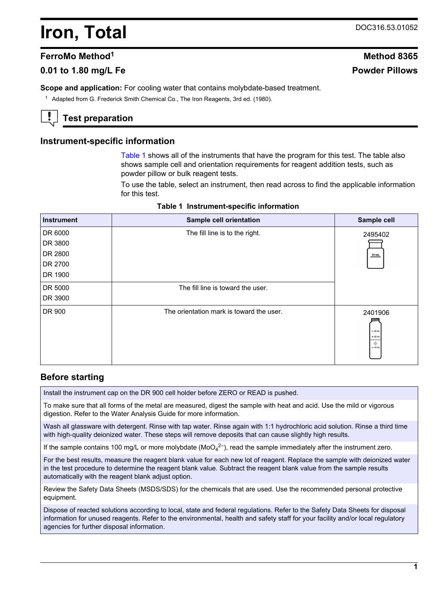# **Iron, Total** DOC316.53.01052

# **FerroMo Method<sup>1</sup> Method 8365**

# **0.01 to 1.80 mg/L Fe Powder Pillows**

**Scope and application:** For cooling water that contains molybdate-based treatment.

<sup>1</sup> Adapted from G. Frederick Smith Chemical Co., The Iron Reagents, 3rd ed. (1980).

# **Test preparation**

## **Instrument-specific information**

[Table 1](#page-0-0) shows all of the instruments that have the program for this test. The table also shows sample cell and orientation requirements for reagent addition tests, such as powder pillow or bulk reagent tests.

To use the table, select an instrument, then read across to find the applicable information for this test.

<span id="page-0-1"></span><span id="page-0-0"></span>

| <b>Instrument</b> | Sample cell orientation                  | Sample cell                                   |
|-------------------|------------------------------------------|-----------------------------------------------|
| DR 6000           | The fill line is to the right.           | 2495402                                       |
| DR 3800           |                                          |                                               |
| DR 2800           |                                          | $10$ mL                                       |
| DR 2700           |                                          |                                               |
| DR 1900           |                                          |                                               |
| DR 5000           | The fill line is toward the user.        |                                               |
| DR 3900           |                                          |                                               |
| DR 900            | The orientation mark is toward the user. | 2401906<br>$= 25$ mL<br>$= 20$ mL<br>$-10$ mL |

#### **Table 1 Instrument-specific information**

## **Before starting**

Install the instrument cap on the DR 900 cell holder before ZERO or READ is pushed.

To make sure that all forms of the metal are measured, digest the sample with heat and acid. Use the mild or vigorous digestion. Refer to the Water Analysis Guide for more information.

Wash all glassware with detergent. Rinse with tap water. Rinse again with 1:1 hydrochloric acid solution. Rinse a third time with high-quality deionized water. These steps will remove deposits that can cause slightly high results.

If the sample contains 100 mg/L or more molybdate (MoO<sub>4</sub><sup>2-</sup>), read the sample immediately after the instrument zero.

For the best results, measure the reagent blank value for each new lot of reagent. Replace the sample with deionized water in the test procedure to determine the reagent blank value. Subtract the reagent blank value from the sample results automatically with the reagent blank adjust option.

Review the Safety Data Sheets (MSDS/SDS) for the chemicals that are used. Use the recommended personal protective equipment.

Dispose of reacted solutions according to local, state and federal regulations. Refer to the Safety Data Sheets for disposal information for unused reagents. Refer to the environmental, health and safety staff for your facility and/or local regulatory agencies for further disposal information.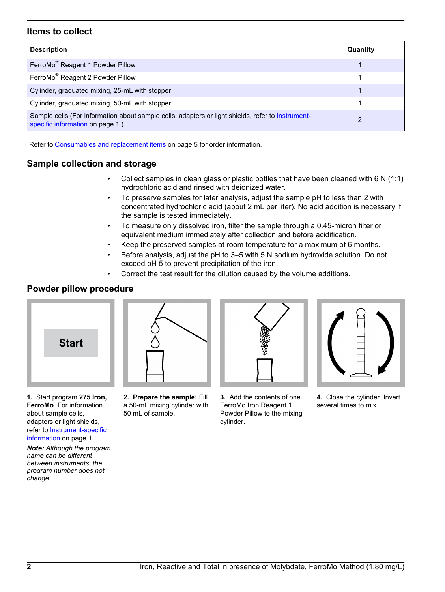# **Items to collect**

| <b>Description</b>                                                                                                                    | Quantity |
|---------------------------------------------------------------------------------------------------------------------------------------|----------|
| FerroMo <sup>®</sup> Reagent 1 Powder Pillow                                                                                          |          |
| FerroMo <sup>®</sup> Reagent 2 Powder Pillow                                                                                          |          |
| Cylinder, graduated mixing, 25-mL with stopper                                                                                        |          |
| Cylinder, graduated mixing, 50-mL with stopper                                                                                        |          |
| Sample cells (For information about sample cells, adapters or light shields, refer to Instrument-<br>specific information on page 1.) |          |

Refer to [Consumables and replacement items](#page-4-0) on page 5 for order information.

# **Sample collection and storage**

- Collect samples in clean glass or plastic bottles that have been cleaned with 6 N (1:1) hydrochloric acid and rinsed with deionized water.
- To preserve samples for later analysis, adjust the sample pH to less than 2 with concentrated hydrochloric acid (about 2 mL per liter). No acid addition is necessary if the sample is tested immediately.
- To measure only dissolved iron, filter the sample through a 0.45-micron filter or equivalent medium immediately after collection and before acidification.
- Keep the preserved samples at room temperature for a maximum of 6 months.
- Before analysis, adjust the pH to 3–5 with 5 N sodium hydroxide solution. Do not exceed pH 5 to prevent precipitation of the iron.
- Correct the test result for the dilution caused by the volume additions.

# **Powder pillow procedure**



**1.** Start program **275 Iron, FerroMo**. For information about sample cells, adapters or light shields, refer to [Instrument-specific](#page-0-1) [information](#page-0-1) on page 1.

*Note: Although the program name can be different between instruments, the program number does not change.*



**2. Prepare the sample:** Fill a 50-mL mixing cylinder with 50 mL of sample.



**3.** Add the contents of one FerroMo Iron Reagent 1 Powder Pillow to the mixing cylinder.

**4.** Close the cylinder. Invert several times to mix.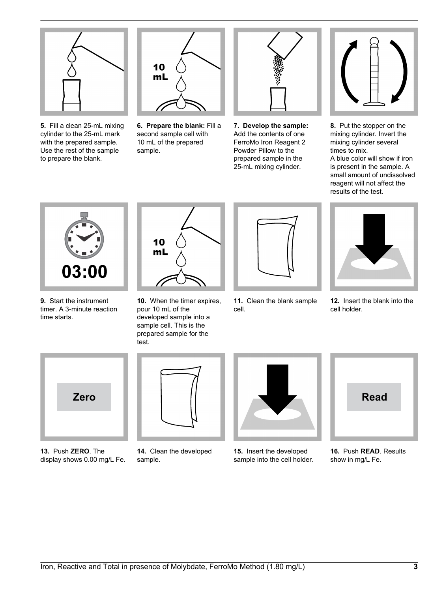

**5.** Fill a clean 25-mL mixing cylinder to the 25-mL mark with the prepared sample. Use the rest of the sample to prepare the blank.



**6. Prepare the blank:** Fill a second sample cell with 10 mL of the prepared sample.



**7. Develop the sample:** Add the contents of one FerroMo Iron Reagent 2 Powder Pillow to the prepared sample in the 25-mL mixing cylinder.



**8.** Put the stopper on the mixing cylinder. Invert the mixing cylinder several times to mix.

A blue color will show if iron is present in the sample. A small amount of undissolved reagent will not affect the results of the test.



**9.** Start the instrument timer. A 3-minute reaction time starts.



**10.** When the timer expires, pour 10 mL of the developed sample into a sample cell. This is the prepared sample for the test.



**11.** Clean the blank sample cell.



**12.** Insert the blank into the cell holder.



**13.** Push **ZERO**. The display shows 0.00 mg/L Fe.



**14.** Clean the developed sample.



**15.** Insert the developed sample into the cell holder.



**16.** Push **READ**. Results show in mg/L Fe.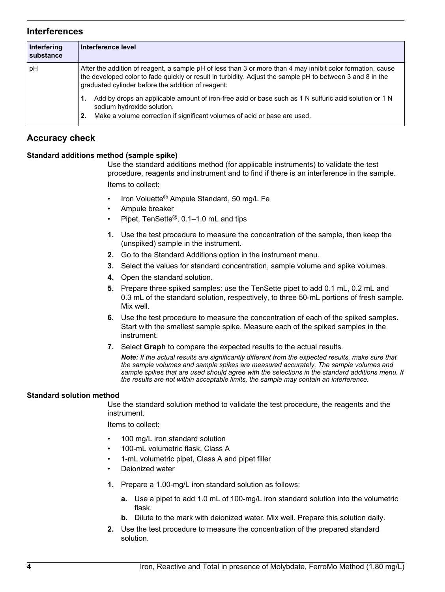## **Interferences**

| Interfering<br><b>substance</b> | Interference level                                                                                                                                                                                                                                                              |
|---------------------------------|---------------------------------------------------------------------------------------------------------------------------------------------------------------------------------------------------------------------------------------------------------------------------------|
| pH                              | After the addition of reagent, a sample pH of less than 3 or more than 4 may inhibit color formation, cause<br>the developed color to fade quickly or result in turbidity. Adjust the sample pH to between 3 and 8 in the<br>graduated cylinder before the addition of reagent: |
|                                 | Add by drops an applicable amount of iron-free acid or base such as 1 N sulfuric acid solution or 1 N<br>sodium hydroxide solution.<br>Make a volume correction if significant volumes of acid or base are used.<br>2.                                                          |

# **Accuracy check**

### **Standard additions method (sample spike)**

Use the standard additions method (for applicable instruments) to validate the test procedure, reagents and instrument and to find if there is an interference in the sample. Items to collect:

- Iron Voluette® Ampule Standard, 50 mg/L Fe
- Ampule breaker
- Pipet, TenSette®, 0.1–1.0 mL and tips
- **1.** Use the test procedure to measure the concentration of the sample, then keep the (unspiked) sample in the instrument.
- **2.** Go to the Standard Additions option in the instrument menu.
- **3.** Select the values for standard concentration, sample volume and spike volumes.
- **4.** Open the standard solution.
- **5.** Prepare three spiked samples: use the TenSette pipet to add 0.1 mL, 0.2 mL and 0.3 mL of the standard solution, respectively, to three 50-mL portions of fresh sample. Mix well.
- **6.** Use the test procedure to measure the concentration of each of the spiked samples. Start with the smallest sample spike. Measure each of the spiked samples in the instrument.
- **7.** Select **Graph** to compare the expected results to the actual results.

*Note: If the actual results are significantly different from the expected results, make sure that the sample volumes and sample spikes are measured accurately. The sample volumes and sample spikes that are used should agree with the selections in the standard additions menu. If the results are not within acceptable limits, the sample may contain an interference.*

### **Standard solution method**

Use the standard solution method to validate the test procedure, the reagents and the instrument.

Items to collect:

- 100 mg/L iron standard solution
- 100-mL volumetric flask, Class A
- 1-mL volumetric pipet, Class A and pipet filler
- Deionized water
- **1.** Prepare a 1.00-mg/L iron standard solution as follows:
	- **a.** Use a pipet to add 1.0 mL of 100-mg/L iron standard solution into the volumetric flask.
	- **b.** Dilute to the mark with deionized water. Mix well. Prepare this solution daily.
- **2.** Use the test procedure to measure the concentration of the prepared standard solution.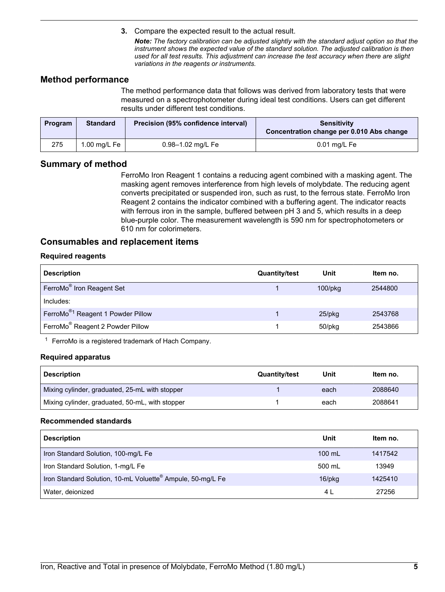**3.** Compare the expected result to the actual result.

*Note: The factory calibration can be adjusted slightly with the standard adjust option so that the instrument shows the expected value of the standard solution. The adjusted calibration is then used for all test results. This adjustment can increase the test accuracy when there are slight variations in the reagents or instruments.*

## **Method performance**

The method performance data that follows was derived from laboratory tests that were measured on a spectrophotometer during ideal test conditions. Users can get different results under different test conditions.

| Program | <b>Standard</b> | Precision (95% confidence interval) | <b>Sensitivity</b><br>Concentration change per 0.010 Abs change |
|---------|-----------------|-------------------------------------|-----------------------------------------------------------------|
| 275     | 1.00 mg/L Fe    | 0.98-1.02 mg/L Fe                   | $0.01$ mg/L Fe                                                  |

## **Summary of method**

FerroMo Iron Reagent 1 contains a reducing agent combined with a masking agent. The masking agent removes interference from high levels of molybdate. The reducing agent converts precipitated or suspended iron, such as rust, to the ferrous state. FerroMo Iron Reagent 2 contains the indicator combined with a buffering agent. The indicator reacts with ferrous iron in the sample, buffered between pH 3 and 5, which results in a deep blue-purple color. The measurement wavelength is 590 nm for spectrophotometers or 610 nm for colorimeters.

## <span id="page-4-0"></span>**Consumables and replacement items**

### **Required reagents**

| <b>Description</b>                            | <b>Quantity/test</b> | Unit          | Item no. |
|-----------------------------------------------|----------------------|---------------|----------|
| FerroMo <sup>®</sup> Iron Reagent Set         |                      | $100$ /p $kg$ | 2544800  |
| Includes:                                     |                      |               |          |
| FerroMo <sup>®1</sup> Reagent 1 Powder Pillow |                      | $25$ /pkq     | 2543768  |
| FerroMo <sup>®</sup> Reagent 2 Powder Pillow  |                      | 50/pkg        | 2543866  |

 $1$  FerroMo is a registered trademark of Hach Company.

### **Required apparatus**

| <b>Description</b>                              | <b>Quantity/test</b> | Unit | Item no. |
|-------------------------------------------------|----------------------|------|----------|
| Mixing cylinder, graduated, 25-mL with stopper  |                      | each | 2088640  |
| Mixing cylinder, graduated, 50-mL, with stopper |                      | each | 2088641  |

#### **Recommended standards**

| <b>Description</b>                                                     | Unit         | Item no. |
|------------------------------------------------------------------------|--------------|----------|
| Iron Standard Solution, 100-mg/L Fe                                    | 100 mL       | 1417542  |
| Iron Standard Solution, 1-mg/L Fe                                      | 500 mL       | 13949    |
| Iron Standard Solution, 10-mL Voluette <sup>®</sup> Ampule, 50-mg/L Fe | $16$ /p $kg$ | 1425410  |
| Water, deionized                                                       | 4 L          | 27256    |